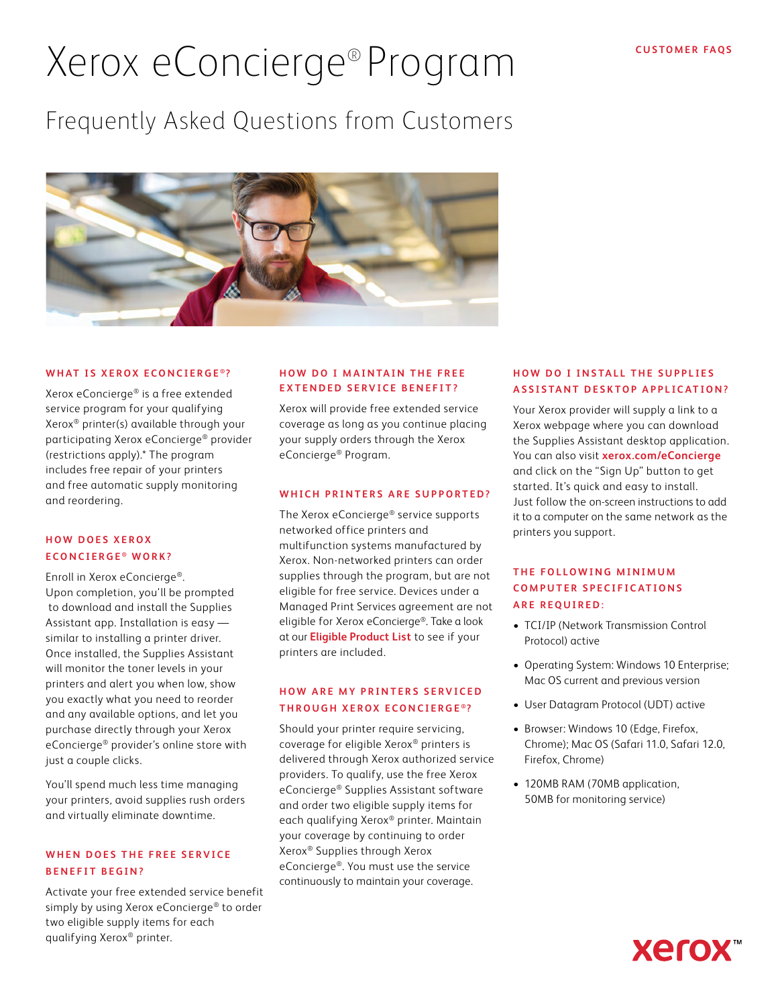# Xerox eConcierge® Program

## Frequently Asked Questions from Customers



#### WHAT IS XEROX ECONCIERGE<sup>®</sup>?

Xerox eConcierge® is a free extended service program for your qualifying Xerox® printer(s) available through your participating Xerox eConcierge® provider (restrictions apply).\* The program includes free repair of your printers and free automatic supply monitoring and reordering.

#### **HOW DOES XEROX ECONCIERGE ® WORK?**

Enroll in Xerox eConcierge®. Upon completion, you'll be prompted to download and install the Supplies Assistant app. Installation is easy similar to installing a printer driver. Once installed, the Supplies Assistant will monitor the toner levels in your printers and alert you when low, show you exactly what you need to reorder and any available options, and let you purchase directly through your Xerox eConcierge® provider's online store with just a couple clicks.

You'll spend much less time managing your printers, avoid supplies rush orders and virtually eliminate downtime.

#### WHEN DOES THE FREE SERVICE **BENEFIT BEGIN?**

Activate your free extended service benefit simply by using Xerox eConcierge® to order two eligible supply items for each qualifying Xerox® printer.

#### **HOW DO I MAINTAIN THE FREE EXTENDED SERVICE BENEFIT?**

Xerox will provide free extended service coverage as long as you continue placing your supply orders through the Xerox eConcierge® Program.

#### **WHICH PRINTERS ARE SUPPORTED?**

The Xerox eConcierge® service supports networked office printers and multifunction systems manufactured by Xerox. Non-networked printers can order supplies through the program, but are not eligible for free service. Devices under a Managed Print Services agreement are not eligible for Xerox eConcierge®. Take a look at our **[Eligible Product List](https://www.office.xerox.com/latest/ECOFS-02U.pdf)** to see if your printers are included.

#### **HOW ARE MY PRINTERS SERVICED THROUGH XEROX ECONCIERGE®?**

Should your printer require servicing, coverage for eligible Xerox® printers is delivered through Xerox authorized service providers. To qualify, use the free Xerox eConcierge® Supplies Assistant software and order two eligible supply items for each qualifying Xerox® printer. Maintain your coverage by continuing to order Xerox® Supplies through Xerox eConcierge®. You must use the service continuously to maintain your coverage.

#### **HOW DO I INSTALL THE SUPPLIES ASSISTANT DESKTOP APPLICATION?**

Your Xerox provider will supply a link to a Xerox webpage where you can download the Supplies Assistant desktop application. You can also visit **[xerox.com/eConcierge](https://www.xerox.com/en-us/office/econcierge-supplies)** and click on the "Sign Up" button to get started. It's quick and easy to install. Just follow the on-screen instructions to add it to a computer on the same network as the printers you support.

#### **THE FOLLOWING MINIMUM COMPUTER SPECIFICATIONS ARE REQUIRED:**

- TCI/IP (Network Transmission Control Protocol) active
- Operating System: Windows 10 Enterprise; Mac OS current and previous version
- User Datagram Protocol (UDT) active
- Browser: Windows 10 (Edge, Firefox, Chrome); Mac OS (Safari 11.0, Safari 12.0, Firefox, Chrome)
- 120MB RAM (70MB application, 50MB for monitoring service)